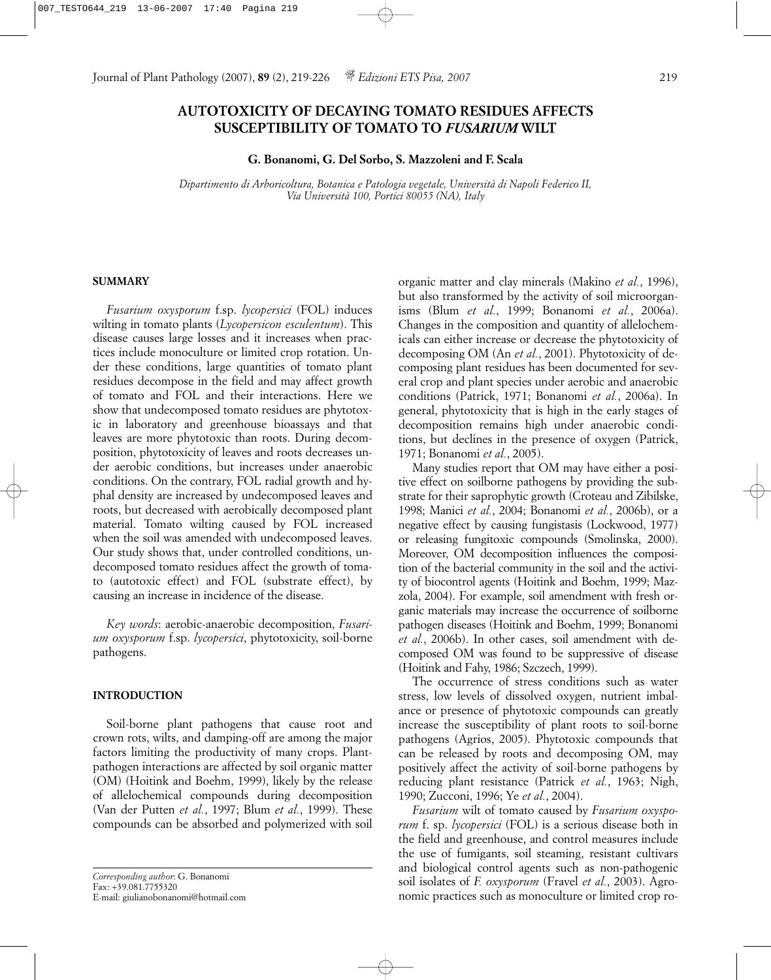# **AUTOTOXICITY OF DECAYING TOMATO RESIDUES AFFECTS SUSCEPTIBILITY OF TOMATO TO** *FUSARIUM* **WILT**

**G. Bonanomi, G. Del Sorbo, S. Mazzoleni and F. Scala**

*Dipartimento di Arboricoltura, Botanica e Patologia vegetale, Università di Napoli Federico II, Via Università 100, Portici 80055 (NA), Italy*

## **SUMMARY**

*Fusarium oxysporum* f.sp. *lycopersici* (FOL) induces wilting in tomato plants (*Lycopersicon esculentum*). This disease causes large losses and it increases when practices include monoculture or limited crop rotation. Under these conditions, large quantities of tomato plant residues decompose in the field and may affect growth of tomato and FOL and their interactions. Here we show that undecomposed tomato residues are phytotoxic in laboratory and greenhouse bioassays and that leaves are more phytotoxic than roots. During decomposition, phytotoxicity of leaves and roots decreases under aerobic conditions, but increases under anaerobic conditions. On the contrary, FOL radial growth and hyphal density are increased by undecomposed leaves and roots, but decreased with aerobically decomposed plant material. Tomato wilting caused by FOL increased when the soil was amended with undecomposed leaves. Our study shows that, under controlled conditions, undecomposed tomato residues affect the growth of tomato (autotoxic effect) and FOL (substrate effect), by causing an increase in incidence of the disease.

*Key words*: aerobic-anaerobic decomposition, *Fusarium oxysporum* f.sp. *lycopersici*, phytotoxicity, soil-borne pathogens.

## **INTRODUCTION**

Soil-borne plant pathogens that cause root and crown rots, wilts, and damping-off are among the major factors limiting the productivity of many crops. Plantpathogen interactions are affected by soil organic matter (OM) (Hoitink and Boehm, 1999), likely by the release of allelochemical compounds during decomposition (Van der Putten *et al.*, 1997; Blum *et al.*, 1999). These compounds can be absorbed and polymerized with soil

organic matter and clay minerals (Makino *et al.*, 1996), but also transformed by the activity of soil microorganisms (Blum *et al.*, 1999; Bonanomi *et al.*, 2006a). Changes in the composition and quantity of allelochemicals can either increase or decrease the phytotoxicity of decomposing OM (An *et al.*, 2001). Phytotoxicity of decomposing plant residues has been documented for several crop and plant species under aerobic and anaerobic conditions (Patrick, 1971; Bonanomi *et al.*, 2006a). In general, phytotoxicity that is high in the early stages of decomposition remains high under anaerobic conditions, but declines in the presence of oxygen (Patrick, 1971; Bonanomi *et al.*, 2005).

Many studies report that OM may have either a positive effect on soilborne pathogens by providing the substrate for their saprophytic growth (Croteau and Zibilske, 1998; Manici *et al.*, 2004; Bonanomi *et al.*, 2006b), or a negative effect by causing fungistasis (Lockwood, 1977) or releasing fungitoxic compounds (Smolinska, 2000). Moreover, OM decomposition influences the composition of the bacterial community in the soil and the activity of biocontrol agents (Hoitink and Boehm, 1999; Mazzola, 2004). For example, soil amendment with fresh organic materials may increase the occurrence of soilborne pathogen diseases (Hoitink and Boehm, 1999; Bonanomi *et al.*, 2006b). In other cases, soil amendment with decomposed OM was found to be suppressive of disease (Hoitink and Fahy, 1986; Szczech, 1999).

The occurrence of stress conditions such as water stress, low levels of dissolved oxygen, nutrient imbalance or presence of phytotoxic compounds can greatly increase the susceptibility of plant roots to soil-borne pathogens (Agrios, 2005). Phytotoxic compounds that can be released by roots and decomposing OM, may positively affect the activity of soil-borne pathogens by reducing plant resistance (Patrick *et al.*, 1963; Nigh, 1990; Zucconi, 1996; Ye *et al.*, 2004).

*Fusarium* wilt of tomato caused by *Fusarium oxysporum* f. sp. *lycopersici* (FOL) is a serious disease both in the field and greenhouse, and control measures include the use of fumigants, soil steaming, resistant cultivars and biological control agents such as non-pathogenic soil isolates of *F. oxysporum* (Fravel *et al.*, 2003). Agronomic practices such as monoculture or limited crop ro-

*Corresponding author*: G. Bonanomi Fax: +39.081.7755320 E-mail: giulianobonanomi@hotmail.com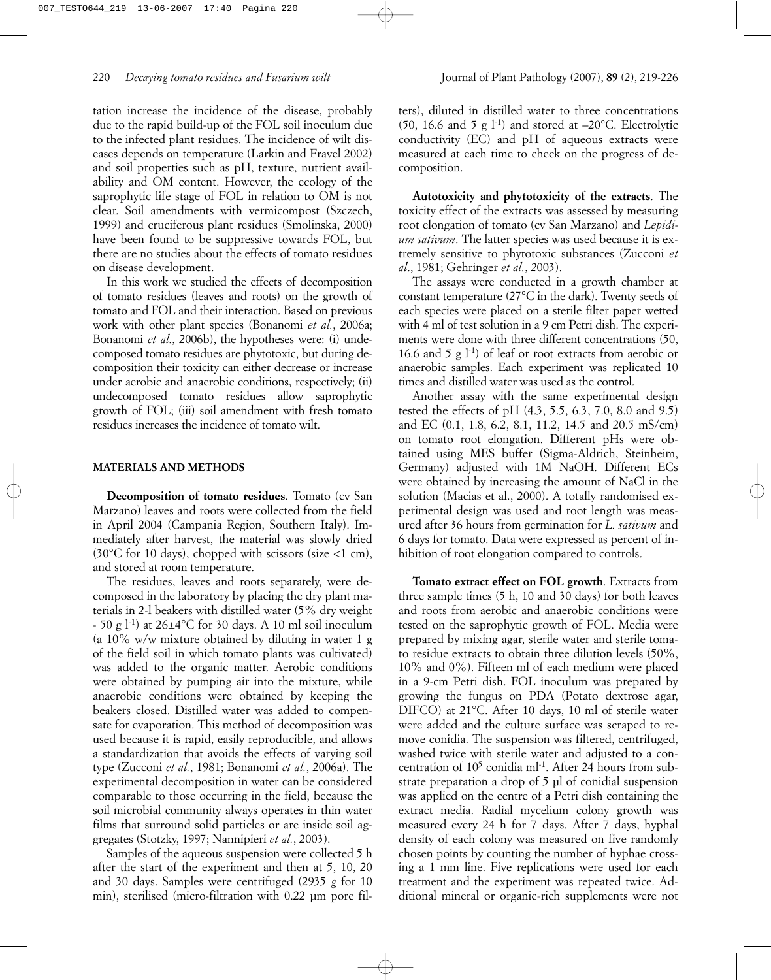tation increase the incidence of the disease, probably due to the rapid build-up of the FOL soil inoculum due to the infected plant residues. The incidence of wilt diseases depends on temperature (Larkin and Fravel 2002) and soil properties such as pH, texture, nutrient availability and OM content. However, the ecology of the saprophytic life stage of FOL in relation to OM is not clear. Soil amendments with vermicompost (Szczech, 1999) and cruciferous plant residues (Smolinska, 2000) have been found to be suppressive towards FOL, but there are no studies about the effects of tomato residues on disease development.

In this work we studied the effects of decomposition of tomato residues (leaves and roots) on the growth of tomato and FOL and their interaction. Based on previous work with other plant species (Bonanomi *et al.*, 2006a; Bonanomi *et al.*, 2006b), the hypotheses were: (i) undecomposed tomato residues are phytotoxic, but during decomposition their toxicity can either decrease or increase under aerobic and anaerobic conditions, respectively; (ii) undecomposed tomato residues allow saprophytic growth of FOL; (iii) soil amendment with fresh tomato residues increases the incidence of tomato wilt.

## **MATERIALS AND METHODS**

**Decomposition of tomato residues**. Tomato (cv San Marzano) leaves and roots were collected from the field in April 2004 (Campania Region, Southern Italy). Immediately after harvest, the material was slowly dried (30 $\degree$ C for 10 days), chopped with scissors (size <1 cm), and stored at room temperature.

The residues, leaves and roots separately, were decomposed in the laboratory by placing the dry plant materials in 2-l beakers with distilled water (5% dry weight  $-50$  g  $1<sup>-1</sup>$ ) at 26 $\pm$ 4°C for 30 days. A 10 ml soil inoculum (a 10% w/w mixture obtained by diluting in water 1 g of the field soil in which tomato plants was cultivated) was added to the organic matter. Aerobic conditions were obtained by pumping air into the mixture, while anaerobic conditions were obtained by keeping the beakers closed. Distilled water was added to compensate for evaporation. This method of decomposition was used because it is rapid, easily reproducible, and allows a standardization that avoids the effects of varying soil type (Zucconi *et al.*, 1981; Bonanomi *et al.*, 2006a). The experimental decomposition in water can be considered comparable to those occurring in the field, because the soil microbial community always operates in thin water films that surround solid particles or are inside soil aggregates (Stotzky, 1997; Nannipieri *et al.*, 2003).

Samples of the aqueous suspension were collected 5 h after the start of the experiment and then at 5, 10, 20 and 30 days. Samples were centrifuged (2935 *g* for 10 min), sterilised (micro-filtration with 0.22 µm pore filters), diluted in distilled water to three concentrations (50, 16.6 and 5 g  $\vert$ <sup>-1</sup>) and stored at  $-20^{\circ}$ C. Electrolytic conductivity (EC) and pH of aqueous extracts were measured at each time to check on the progress of decomposition.

**Autotoxicity and phytotoxicity of the extracts**. The toxicity effect of the extracts was assessed by measuring root elongation of tomato (cv San Marzano) and *Lepidium sativum*. The latter species was used because it is extremely sensitive to phytotoxic substances (Zucconi *et al*., 1981; Gehringer *et al.*, *2*003).

The assays were conducted in a growth chamber at constant temperature (27°C in the dark). Twenty seeds of each species were placed on a sterile filter paper wetted with 4 ml of test solution in a 9 cm Petri dish. The experiments were done with three different concentrations (50, 16.6 and 5 g  $1^{-1}$ ) of leaf or root extracts from aerobic or anaerobic samples. Each experiment was replicated 10 times and distilled water was used as the control.

Another assay with the same experimental design tested the effects of pH (4.3, 5.5, 6.3, 7.0, 8.0 and 9.5) and EC (0.1, 1.8, 6.2, 8.1, 11.2, 14.5 and 20.5 mS/cm) on tomato root elongation. Different pHs were obtained using MES buffer (Sigma-Aldrich, Steinheim, Germany) adjusted with 1M NaOH. Different ECs were obtained by increasing the amount of NaCl in the solution (Macias et al., 2000). A totally randomised experimental design was used and root length was measured after 36 hours from germination for *L. sativum* and 6 days for tomato. Data were expressed as percent of inhibition of root elongation compared to controls.

**Tomato extract effect on FOL growth**. Extracts from three sample times (5 h, 10 and 30 days) for both leaves and roots from aerobic and anaerobic conditions were tested on the saprophytic growth of FOL. Media were prepared by mixing agar, sterile water and sterile tomato residue extracts to obtain three dilution levels (50%, 10% and 0%). Fifteen ml of each medium were placed in a 9-cm Petri dish. FOL inoculum was prepared by growing the fungus on PDA (Potato dextrose agar, DIFCO) at 21°C. After 10 days, 10 ml of sterile water were added and the culture surface was scraped to remove conidia. The suspension was filtered, centrifuged, washed twice with sterile water and adjusted to a concentration of  $10^5$  conidia ml<sup>-1</sup>. After 24 hours from substrate preparation a drop of 5 µl of conidial suspension was applied on the centre of a Petri dish containing the extract media. Radial mycelium colony growth was measured every 24 h for 7 days. After 7 days, hyphal density of each colony was measured on five randomly chosen points by counting the number of hyphae crossing a 1 mm line. Five replications were used for each treatment and the experiment was repeated twice. Additional mineral or organic-rich supplements were not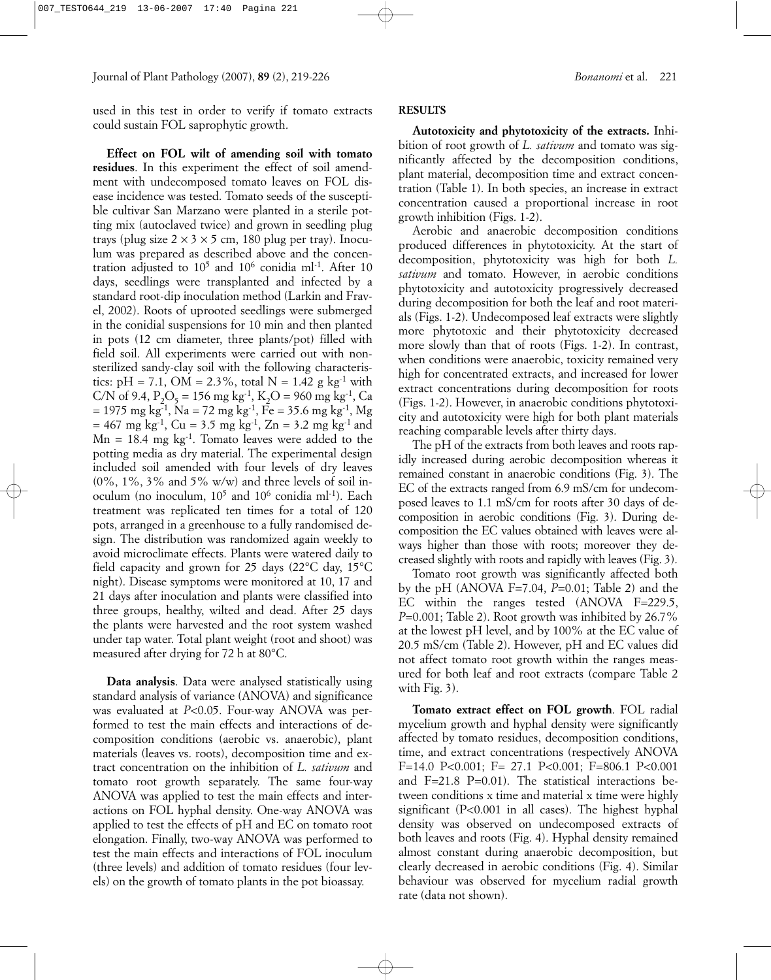used in this test in order to verify if tomato extracts could sustain FOL saprophytic growth.

**Effect on FOL wilt of amending soil with tomato residues**. In this experiment the effect of soil amendment with undecomposed tomato leaves on FOL disease incidence was tested. Tomato seeds of the susceptible cultivar San Marzano were planted in a sterile potting mix (autoclaved twice) and grown in seedling plug trays (plug size  $2 \times 3 \times 5$  cm, 180 plug per tray). Inoculum was prepared as described above and the concentration adjusted to  $10^5$  and  $10^6$  conidia ml<sup>-1</sup>. After 10 days, seedlings were transplanted and infected by a standard root-dip inoculation method (Larkin and Fravel, 2002). Roots of uprooted seedlings were submerged in the conidial suspensions for 10 min and then planted in pots (12 cm diameter, three plants/pot) filled with field soil. All experiments were carried out with nonsterilized sandy-clay soil with the following characteristics: pH = 7.1, OM =  $2.3\%$ , total N =  $1.42$  g kg<sup>-1</sup> with C/N of 9.4,  $P_2O_5 = 156$  mg kg<sup>-1</sup>, K<sub>2</sub>O = 960 mg kg<sup>-1</sup>, Ca  $= 1975$  mg kg<sup>-1</sup>, Na = 72 mg kg<sup>-1</sup>, Fe = 35.6 mg kg<sup>-1</sup>, Mg  $= 467$  mg kg<sup>-1</sup>, Cu = 3.5 mg kg<sup>-1</sup>, Zn = 3.2 mg kg<sup>-1</sup> and  $Mn = 18.4$  mg kg<sup>-1</sup>. Tomato leaves were added to the potting media as dry material. The experimental design included soil amended with four levels of dry leaves  $(0\%, 1\%, 3\%$  and  $5\%$  w/w) and three levels of soil inoculum (no inoculum,  $10^5$  and  $10^6$  conidia ml<sup>-1</sup>). Each treatment was replicated ten times for a total of 120 pots, arranged in a greenhouse to a fully randomised design. The distribution was randomized again weekly to avoid microclimate effects. Plants were watered daily to field capacity and grown for 25 days (22°C day, 15°C night). Disease symptoms were monitored at 10, 17 and 21 days after inoculation and plants were classified into three groups, healthy, wilted and dead. After 25 days the plants were harvested and the root system washed under tap water. Total plant weight (root and shoot) was measured after drying for 72 h at 80°C.

**Data analysis**. Data were analysed statistically using standard analysis of variance (ANOVA) and significance was evaluated at *P*<0.05. Four-way ANOVA was performed to test the main effects and interactions of decomposition conditions (aerobic vs. anaerobic), plant materials (leaves vs. roots), decomposition time and extract concentration on the inhibition of *L. sativum* and tomato root growth separately. The same four-way ANOVA was applied to test the main effects and interactions on FOL hyphal density. One-way ANOVA was applied to test the effects of pH and EC on tomato root elongation. Finally, two-way ANOVA was performed to test the main effects and interactions of FOL inoculum (three levels) and addition of tomato residues (four levels) on the growth of tomato plants in the pot bioassay.

## **RESULTS**

**Autotoxicity and phytotoxicity of the extracts.** Inhibition of root growth of *L. sativum* and tomato was significantly affected by the decomposition conditions, plant material, decomposition time and extract concentration (Table 1). In both species, an increase in extract concentration caused a proportional increase in root growth inhibition (Figs. 1-2).

Aerobic and anaerobic decomposition conditions produced differences in phytotoxicity. At the start of decomposition, phytotoxicity was high for both *L. sativum* and tomato. However, in aerobic conditions phytotoxicity and autotoxicity progressively decreased during decomposition for both the leaf and root materials (Figs. 1-2). Undecomposed leaf extracts were slightly more phytotoxic and their phytotoxicity decreased more slowly than that of roots (Figs. 1-2). In contrast, when conditions were anaerobic, toxicity remained very high for concentrated extracts, and increased for lower extract concentrations during decomposition for roots (Figs. 1-2). However, in anaerobic conditions phytotoxicity and autotoxicity were high for both plant materials reaching comparable levels after thirty days.

The pH of the extracts from both leaves and roots rapidly increased during aerobic decomposition whereas it remained constant in anaerobic conditions (Fig. 3). The EC of the extracts ranged from 6.9 mS/cm for undecomposed leaves to 1.1 mS/cm for roots after 30 days of decomposition in aerobic conditions (Fig. 3). During decomposition the EC values obtained with leaves were always higher than those with roots; moreover they decreased slightly with roots and rapidly with leaves (Fig. 3).

Tomato root growth was significantly affected both by the pH (ANOVA F=7.04, *P*=0.01; Table 2) and the EC within the ranges tested (ANOVA F=229.5, *P*=0.001; Table 2). Root growth was inhibited by 26.7% at the lowest pH level, and by 100% at the EC value of 20.5 mS/cm (Table 2). However, pH and EC values did not affect tomato root growth within the ranges measured for both leaf and root extracts (compare Table 2 with Fig. 3).

**Tomato extract effect on FOL growth**. FOL radial mycelium growth and hyphal density were significantly affected by tomato residues, decomposition conditions, time, and extract concentrations (respectively ANOVA F=14.0 P<0.001; F= 27.1 P<0.001; F=806.1 P<0.001 and F=21.8 P=0.01). The statistical interactions between conditions x time and material x time were highly significant (P<0.001 in all cases). The highest hyphal density was observed on undecomposed extracts of both leaves and roots (Fig. 4). Hyphal density remained almost constant during anaerobic decomposition, but clearly decreased in aerobic conditions (Fig. 4). Similar behaviour was observed for mycelium radial growth rate (data not shown).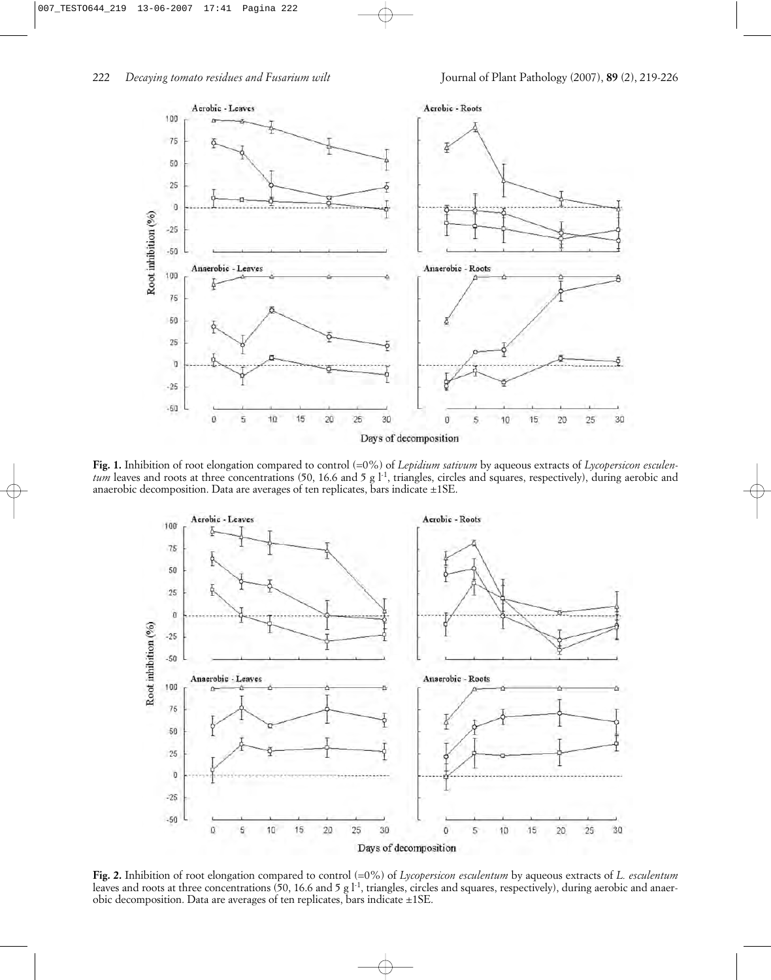

**Fig. 1.** Inhibition of root elongation compared to control (=0%) of *Lepidium sativum* by aqueous extracts of *Lycopersicon esculentum* leaves and roots at three concentrations (50, 16.6 and 5 g l<sup>-1</sup>, triangles, circles and squares, respectively), during aerobic and anaerobic decomposition. Data are averages of ten replicates, bars indicate  $\pm$ 1SE.



**Fig. 2.** Inhibition of root elongation compared to control (=0%) of *Lycopersicon esculentum* by aqueous extracts of *L. esculentum* leaves and roots at three concentrations (50, 16.6 and 5 g l<sup>-1</sup>, triangles, circles and squares, respectively), during aerobic and anaerobic decomposition. Data are averages of ten replicates, bars indicate ±1SE.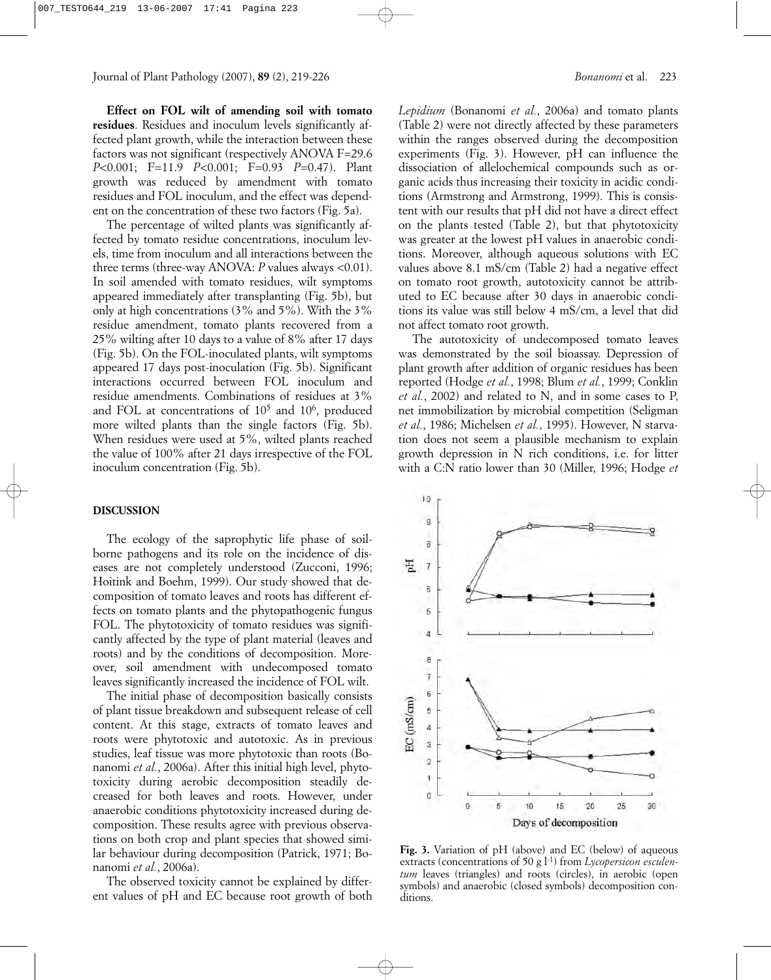**Effect on FOL wilt of amending soil with tomato residues**. Residues and inoculum levels significantly affected plant growth, while the interaction between these factors was not significant (respectively ANOVA F=29.6 *P*<0.001; F=11.9 *P*<0.001; F=0.93 *P*=0.47). Plant growth was reduced by amendment with tomato residues and FOL inoculum, and the effect was dependent on the concentration of these two factors (Fig. 5a).

The percentage of wilted plants was significantly affected by tomato residue concentrations, inoculum levels, time from inoculum and all interactions between the three terms (three-way ANOVA: *P* values always <0.01). In soil amended with tomato residues, wilt symptoms appeared immediately after transplanting (Fig. 5b), but only at high concentrations (3% and 5%). With the 3% residue amendment, tomato plants recovered from a 25% wilting after 10 days to a value of 8% after 17 days (Fig. 5b). On the FOL-inoculated plants, wilt symptoms appeared 17 days post-inoculation (Fig. 5b). Significant interactions occurred between FOL inoculum and residue amendments. Combinations of residues at 3% and FOL at concentrations of  $10^5$  and  $10^6$ , produced more wilted plants than the single factors (Fig. 5b). When residues were used at 5%, wilted plants reached the value of 100% after 21 days irrespective of the FOL inoculum concentration (Fig. 5b).

#### **DISCUSSION**

The ecology of the saprophytic life phase of soilborne pathogens and its role on the incidence of diseases are not completely understood (Zucconi, 1996; Hoitink and Boehm, 1999). Our study showed that decomposition of tomato leaves and roots has different effects on tomato plants and the phytopathogenic fungus FOL. The phytotoxicity of tomato residues was significantly affected by the type of plant material (leaves and roots) and by the conditions of decomposition. Moreover, soil amendment with undecomposed tomato leaves significantly increased the incidence of FOL wilt.

The initial phase of decomposition basically consists of plant tissue breakdown and subsequent release of cell content. At this stage, extracts of tomato leaves and roots were phytotoxic and autotoxic. As in previous studies, leaf tissue was more phytotoxic than roots (Bonanomi *et al.*, 2006a). After this initial high level, phytotoxicity during aerobic decomposition steadily decreased for both leaves and roots. However, under anaerobic conditions phytotoxicity increased during decomposition. These results agree with previous observations on both crop and plant species that showed similar behaviour during decomposition (Patrick, 1971; Bonanomi *et al.*, 2006a).

The observed toxicity cannot be explained by different values of pH and EC because root growth of both *Lepidium* (Bonanomi *et al.*, 2006a) and tomato plants (Table 2) were not directly affected by these parameters within the ranges observed during the decomposition experiments (Fig. 3). However, pH can influence the dissociation of allelochemical compounds such as organic acids thus increasing their toxicity in acidic conditions (Armstrong and Armstrong, 1999). This is consistent with our results that pH did not have a direct effect on the plants tested (Table 2), but that phytotoxicity was greater at the lowest pH values in anaerobic conditions. Moreover, although aqueous solutions with EC values above 8.1 mS/cm (Table 2) had a negative effect on tomato root growth, autotoxicity cannot be attributed to EC because after 30 days in anaerobic conditions its value was still below 4 mS/cm, a level that did not affect tomato root growth.

The autotoxicity of undecomposed tomato leaves was demonstrated by the soil bioassay. Depression of plant growth after addition of organic residues has been reported (Hodge *et al.*, 1998; Blum *et al.*, 1999; Conklin *et al.*, 2002) and related to N, and in some cases to P, net immobilization by microbial competition (Seligman *et al.*, 1986; Michelsen *et al.*, 1995). However, N starvation does not seem a plausible mechanism to explain growth depression in N rich conditions, i.e. for litter with a C:N ratio lower than 30 (Miller, 1996; Hodge *et*

10 g 8 필 7  $\overline{8}$ 5  $\overline{a}$ 8  $\overline{r}$ 6 EC (mS/cm) 5 4  $\mathbf 3$  $\overline{\mathbf{2}}$ Ï ġ  $\overline{0}$ 25  $\overline{5}$ 10 15 20 30 Days of decomposition

**Fig. 3.** Variation of pH (above) and EC (below) of aqueous extracts (concentrations of 50 g l<sup>-1</sup>) from *Lycopersicon esculentum* leaves (triangles) and roots (circles), in aerobic (open symbols) and anaerobic (closed symbols) decomposition conditions.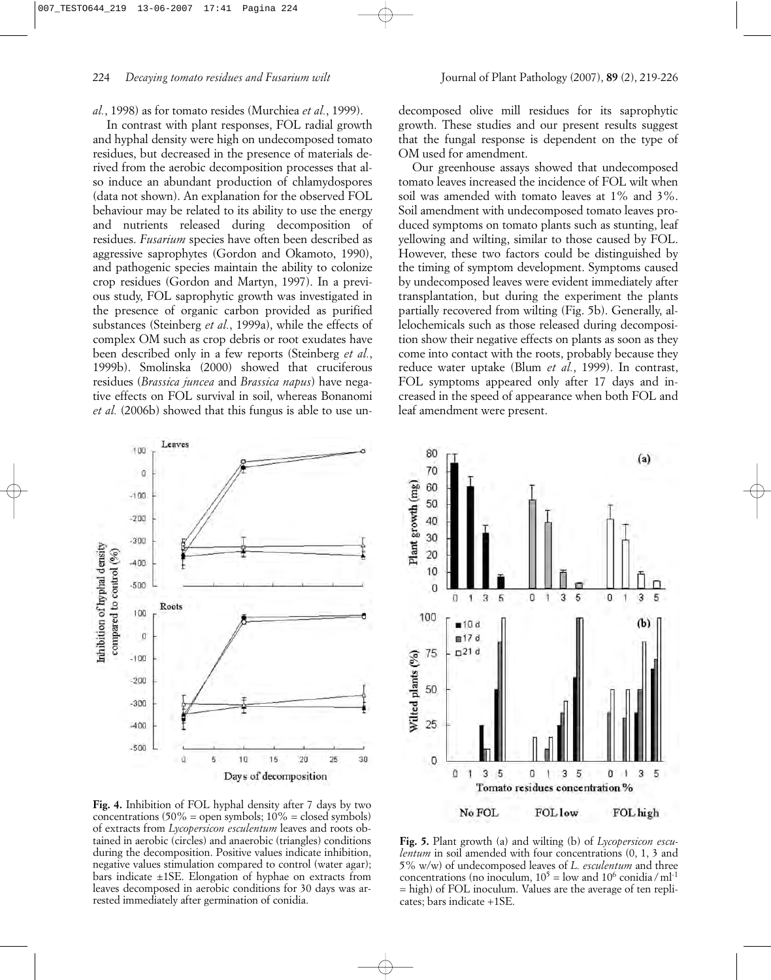*al.*, 1998) as for tomato resides (Murchiea *et al.*, 1999).

In contrast with plant responses, FOL radial growth and hyphal density were high on undecomposed tomato residues, but decreased in the presence of materials derived from the aerobic decomposition processes that also induce an abundant production of chlamydospores (data not shown). An explanation for the observed FOL behaviour may be related to its ability to use the energy and nutrients released during decomposition of residues. *Fusarium* species have often been described as aggressive saprophytes (Gordon and Okamoto, 1990), and pathogenic species maintain the ability to colonize crop residues (Gordon and Martyn, 1997). In a previous study, FOL saprophytic growth was investigated in the presence of organic carbon provided as purified substances (Steinberg *et al.*, 1999a), while the effects of complex OM such as crop debris or root exudates have been described only in a few reports (Steinberg *et al.*, 1999b). Smolinska (2000) showed that cruciferous residues (*Brassica juncea* and *Brassica napus*) have negative effects on FOL survival in soil, whereas Bonanomi *et al.* (2006b) showed that this fungus is able to use undecomposed olive mill residues for its saprophytic growth. These studies and our present results suggest that the fungal response is dependent on the type of OM used for amendment.

Our greenhouse assays showed that undecomposed tomato leaves increased the incidence of FOL wilt when soil was amended with tomato leaves at 1% and 3%. Soil amendment with undecomposed tomato leaves produced symptoms on tomato plants such as stunting, leaf yellowing and wilting, similar to those caused by FOL. However, these two factors could be distinguished by the timing of symptom development. Symptoms caused by undecomposed leaves were evident immediately after transplantation, but during the experiment the plants partially recovered from wilting (Fig. 5b). Generally, allelochemicals such as those released during decomposition show their negative effects on plants as soon as they come into contact with the roots, probably because they reduce water uptake (Blum *et al.*, 1999). In contrast, FOL symptoms appeared only after 17 days and increased in the speed of appearance when both FOL and leaf amendment were present.





**Fig. 4.** Inhibition of FOL hyphal density after 7 days by two concentrations  $(50\% = \text{open symbols}; 10\% = \text{closed symbols})$ of extracts from *Lycopersicon esculentum* leaves and roots obtained in aerobic (circles) and anaerobic (triangles) conditions during the decomposition. Positive values indicate inhibition, negative values stimulation compared to control (water agar); bars indicate ±1SE. Elongation of hyphae on extracts from leaves decomposed in aerobic conditions for 30 days was arrested immediately after germination of conidia.

**Fig. 5.** Plant growth (a) and wilting (b) of *Lycopersicon esculentum* in soil amended with four concentrations (0, 1, 3 and 5% w/w) of undecomposed leaves of *L. esculentum* and three concentrations (no inoculum,  $10^5$  = low and  $10^6$  conidia / ml<sup>-1</sup> = high) of FOL inoculum. Values are the average of ten replicates; bars indicate +1SE.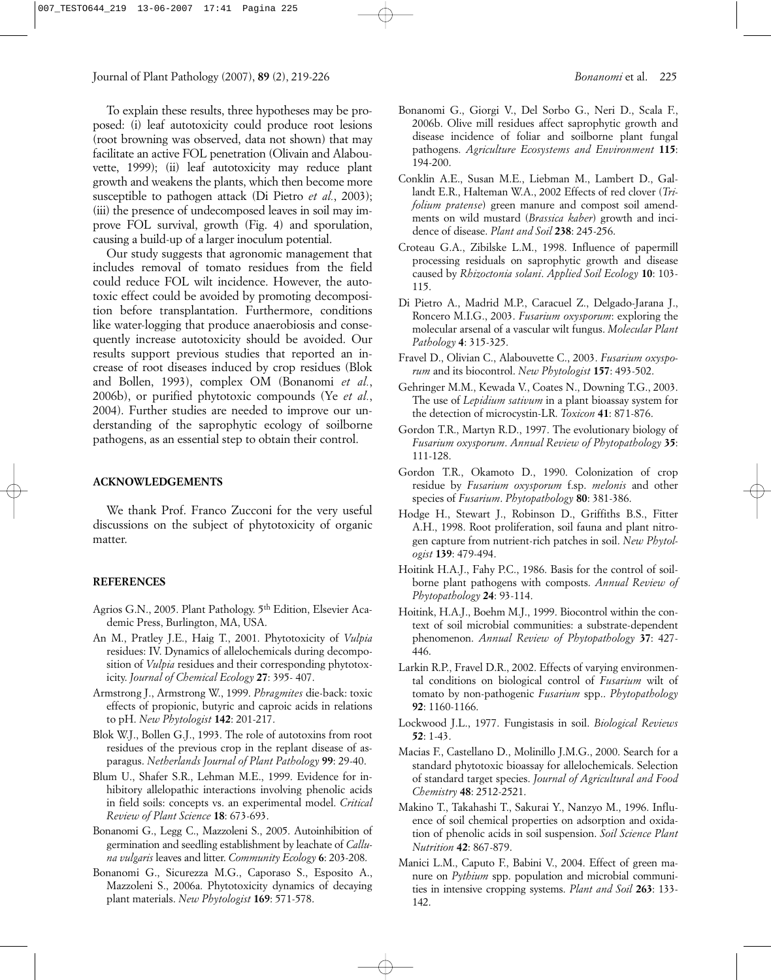To explain these results, three hypotheses may be proposed: (i) leaf autotoxicity could produce root lesions (root browning was observed, data not shown) that may facilitate an active FOL penetration (Olivain and Alabouvette, 1999); (ii) leaf autotoxicity may reduce plant growth and weakens the plants, which then become more susceptible to pathogen attack (Di Pietro *et al.*, 2003); (iii) the presence of undecomposed leaves in soil may improve FOL survival, growth (Fig. 4) and sporulation, causing a build-up of a larger inoculum potential.

Our study suggests that agronomic management that includes removal of tomato residues from the field could reduce FOL wilt incidence. However, the autotoxic effect could be avoided by promoting decomposition before transplantation. Furthermore, conditions like water-logging that produce anaerobiosis and consequently increase autotoxicity should be avoided. Our results support previous studies that reported an increase of root diseases induced by crop residues (Blok and Bollen, 1993), complex OM (Bonanomi *et al.*, 2006b), or purified phytotoxic compounds (Ye *et al.*, 2004). Further studies are needed to improve our understanding of the saprophytic ecology of soilborne pathogens, as an essential step to obtain their control.

## **ACKNOWLEDGEMENTS**

We thank Prof. Franco Zucconi for the very useful discussions on the subject of phytotoxicity of organic matter.

## **REFERENCES**

- Agrios G.N., 2005. Plant Pathology. 5<sup>th</sup> Edition, Elsevier Academic Press, Burlington, MA, USA.
- An M., Pratley J.E., Haig T., 2001. Phytotoxicity of *Vulpia* residues: IV. Dynamics of allelochemicals during decomposition of *Vulpia* residues and their corresponding phytotoxicity. *Journal of Chemical Ecology* **27**: 395- 407.
- Armstrong J., Armstrong W., 1999. *Phragmites* die-back: toxic effects of propionic, butyric and caproic acids in relations to pH. *New Phytologist* **142**: 201-217.
- Blok W.J., Bollen G.J., 1993. The role of autotoxins from root residues of the previous crop in the replant disease of asparagus. *Netherlands Journal of Plant Pathology* **99**: 29-40.
- Blum U., Shafer S.R., Lehman M.E., 1999. Evidence for inhibitory allelopathic interactions involving phenolic acids in field soils: concepts vs. an experimental model. *Critical Review of Plant Science* **18**: 673-693.
- Bonanomi G., Legg C., Mazzoleni S., 2005. Autoinhibition of germination and seedling establishment by leachate of *Calluna vulgaris* leaves and litter. *Community Ecology* **6**: 203-208.
- Bonanomi G., Sicurezza M.G., Caporaso S., Esposito A., Mazzoleni S., 2006a. Phytotoxicity dynamics of decaying plant materials. *New Phytologist* **169**: 571-578.
- Bonanomi G., Giorgi V., Del Sorbo G., Neri D., Scala F., 2006b. Olive mill residues affect saprophytic growth and disease incidence of foliar and soilborne plant fungal pathogens. *Agriculture Ecosystems and Environment* **115**: 194-200.
- Conklin A.E., Susan M.E., Liebman M., Lambert D., Gallandt E.R., Halteman W.A., 2002 Effects of red clover (*Trifolium pratense*) green manure and compost soil amendments on wild mustard (*Brassica kaber*) growth and incidence of disease. *Plant and Soil* **238**: 245-256.
- Croteau G.A., Zibilske L.M., 1998. Influence of papermill processing residuals on saprophytic growth and disease caused by *Rhizoctonia solani*. *Applied Soil Ecology* **10**: 103- 115.
- Di Pietro A., Madrid M.P., Caracuel Z., Delgado-Jarana J., Roncero M.I.G., 2003. *Fusarium oxysporum*: exploring the molecular arsenal of a vascular wilt fungus. *Molecular Plant Pathology* **4**: 315-325.
- Fravel D., Olivian C., Alabouvette C., 2003. *Fusarium oxysporum* and its biocontrol. *New Phytologist* **157**: 493-502.
- Gehringer M.M., Kewada V., Coates N., Downing T.G., 2003. The use of *Lepidium sativum* in a plant bioassay system for the detection of microcystin-LR. *Toxicon* **41**: 871-876.
- Gordon T.R., Martyn R.D., 1997. The evolutionary biology of *Fusarium oxysporum*. *Annual Review of Phytopathology* **35**: 111-128.
- Gordon T.R., Okamoto D., 1990. Colonization of crop residue by *Fusarium oxysporum* f.sp. *melonis* and other species of *Fusarium*. *Phytopathology* **80**: 381-386.
- Hodge H., Stewart J., Robinson D., Griffiths B.S., Fitter A.H., 1998. Root proliferation, soil fauna and plant nitrogen capture from nutrient-rich patches in soil. *New Phytologist* **139**: 479-494.
- Hoitink H.A.J., Fahy P.C., 1986. Basis for the control of soilborne plant pathogens with composts. *Annual Review of Phytopathology* **24**: 93-114.
- Hoitink, H.A.J., Boehm M.J., 1999. Biocontrol within the context of soil microbial communities: a substrate-dependent phenomenon. *Annual Review of Phytopathology* **37**: 427- 446.
- Larkin R.P., Fravel D.R., 2002. Effects of varying environmental conditions on biological control of *Fusarium* wilt of tomato by non-pathogenic *Fusarium* spp.. *Phytopathology* **92**: 1160-1166.
- Lockwood J.L., 1977. Fungistasis in soil. *Biological Reviews* **52**: 1-43.
- Macias F., Castellano D., Molinillo J.M.G., 2000. Search for a standard phytotoxic bioassay for allelochemicals. Selection of standard target species. *Journal of Agricultural and Food Chemistry* **48**: 2512-2521.
- Makino T., Takahashi T., Sakurai Y., Nanzyo M., 1996. Influence of soil chemical properties on adsorption and oxidation of phenolic acids in soil suspension. *Soil Science Plant Nutrition* **42**: 867-879.
- Manici L.M., Caputo F., Babini V., 2004. Effect of green manure on *Pythium* spp. population and microbial communities in intensive cropping systems. *Plant and Soil* **263**: 133- 142.